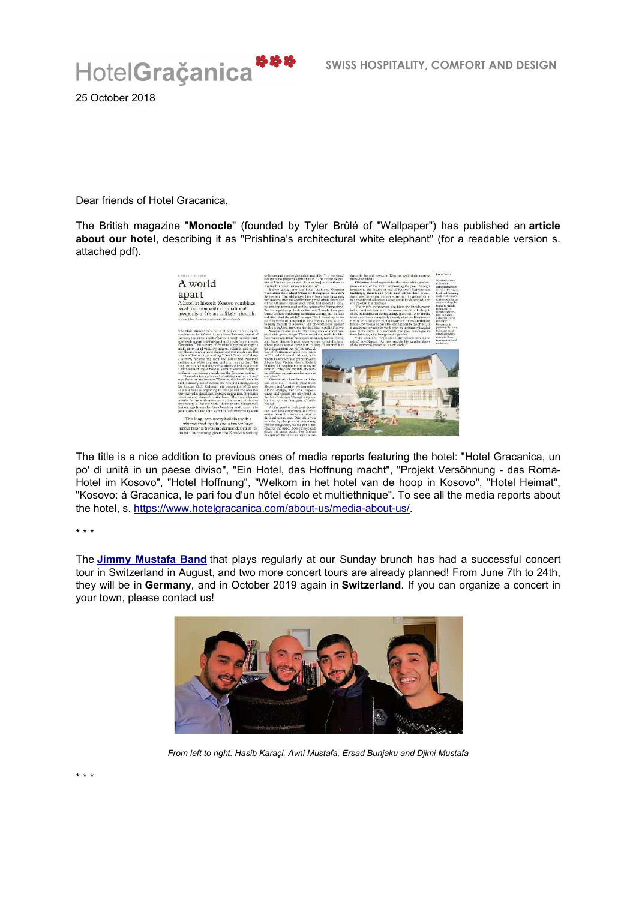

25 October 2018

Dear friends of Hotel Gracanica,

The British magazine "**Monocle**" (founded by Tyler Brûlé of "Wallpaper") has published an **article about our hotel**, describing it as "Prishtina's architectural white elephant" (for a readable version s. attached pdf).



The title is a nice addition to previous ones of media reports featuring the hotel: "Hotel Gracanica, un po' di unità in un paese diviso", "Ein Hotel, das Hoffnung macht", "Projekt Versöhnung - das Roma-Hotel im Kosovo", "Hotel Hoffnung", "Welkom in het hotel van de hoop in Kosovo", "Hotel Heimat", "Kosovo: á Gracanica, le pari fou d'un hôtel écolo et multiethnique". To see all the media reports about the hotel, s. https://www.hotelgracanica.com/about-us/media-about-us/.

\* \* \*

The **Jimmy Mustafa Band** that plays regularly at our Sunday brunch has had a successful concert tour in Switzerland in August, and two more concert tours are already planned! From June 7th to 24th, they will be in **Germany**, and in October 2019 again in **Switzerland**. If you can organize a concert in your town, please contact us!



*From left to right: Hasib Karaçi, Avni Mustafa, Ersad Bunjaku and Djimi Mustafa*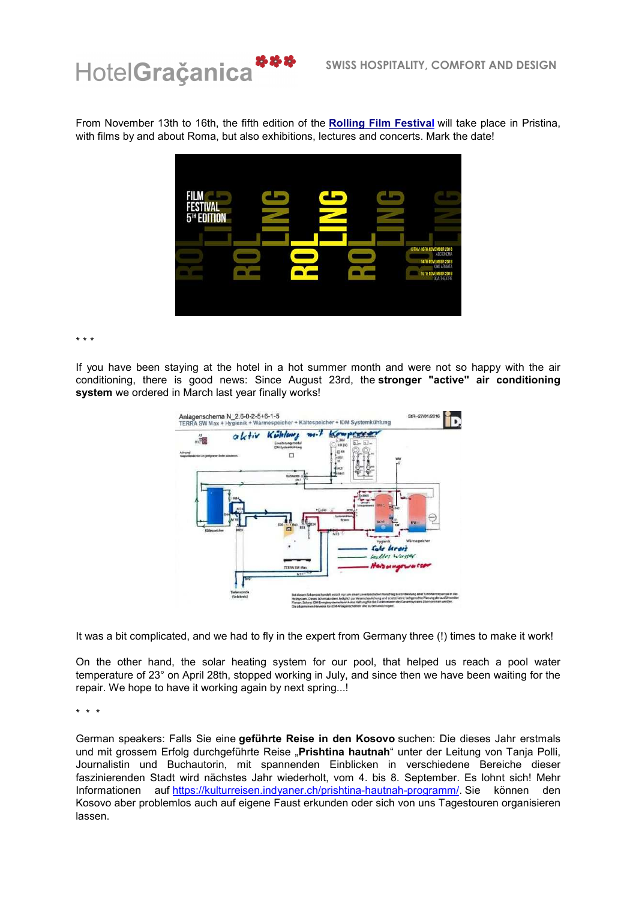

From November 13th to 16th, the fifth edition of the **Rolling Film Festival** will take place in Pristina, with films by and about Roma, but also exhibitions, lectures and concerts. Mark the date!



\* \* \*

If you have been staying at the hotel in a hot summer month and were not so happy with the air conditioning, there is good news: Since August 23rd, the **stronger "active" air conditioning system** we ordered in March last year finally works!



It was a bit complicated, and we had to fly in the expert from Germany three (!) times to make it work!

On the other hand, the solar heating system for our pool, that helped us reach a pool water temperature of 23° on April 28th, stopped working in July, and since then we have been waiting for the repair. We hope to have it working again by next spring...!

\* \* \*

German speakers: Falls Sie eine **geführte Reise in den Kosovo** suchen: Die dieses Jahr erstmals und mit grossem Erfolg durchgeführte Reise "Prishtina hautnah" unter der Leitung von Tanja Polli, Journalistin und Buchautorin, mit spannenden Einblicken in verschiedene Bereiche dieser faszinierenden Stadt wird nächstes Jahr wiederholt, vom 4. bis 8. September. Es lohnt sich! Mehr Informationen auf https://kulturreisen.indyaner.ch/prishtina-hautnah-programm/. Sie können den Kosovo aber problemlos auch auf eigene Faust erkunden oder sich von uns Tagestouren organisieren lassen.